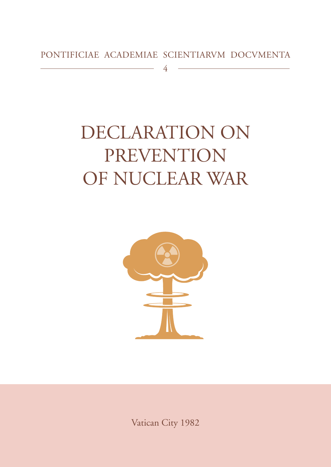4

# DECLARATION ON PREVENTION OF NUCLEAR WAR



Vatican City 1982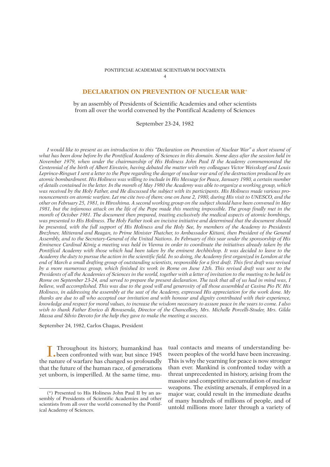#### PONTIFICIAE ACADEMIAE SCIENTIARVM DOCVMENTA 4

## **DECLARATION ON PREVENTION OF NUCLEAR WAR\***

by an assembly of Presidents of Scientific Academies and other scientists from all over the world convened by the Pontifical Academy of Sciences

September 23-24, 1982

*I would like to present as an introduction to this "Declaration on Prevention of Nuclear War" a short résumé of what has been done before by the Pontifical Academy of Sciences in this domain. Some days after the session held in November 1979, when under the chairmanship of His Holiness John Paul II the Academy commemorated the Centennial of the birth of Albert Einstein, having debated the matter with my colleagues Victor Weisskopf and Louis Leprince-Ringuet I sent a letter to the Pope regarding the danger of nuclear war and of the destruction produced by an atomic bombardment. His Holiness was willing to include in His Message for Peace, January 1980, a certain number of details contained in the letter. In the month of May 1980 the Academy was able to organize a work ing group, which was received by the Holy Father, and He discussed the subject with its participants. His Holiness made various pronouncements on atomic warfare. Let me cite two of them: one on June 2, 1980, during His visit to UNESCO, and the other on February 25, 1981, in Hiroshima. A second working group on the subject should have been convened in May 1981, but the infamous attack on the life of the Pope made this meeting impossible. The group finally met in the month of October 1981. The document then prepared, treating exclusively the medical aspects of atomic bombings, was presented to His Holiness. The Holy Father took an incisive initiative and determined that the document should be presented, with the full support of His Holiness and the Holy See, by members of the Academy to Presidents Brezhnev, Mitterand and Reagan, to Prime Minister Thatcher, to Ambassador Kittani, then President of the General Assembly, and to the Secretary-General of the United Nations. In February of this year under the sponsorship of His Eminence Cardinal König a meeting was held in Vienna in order to coordinate the initiatives already taken by the Pontifical Academy with those which had been taken by the eminent Archbishop. It was decided to leave to the Academy the duty to pursue the action in the scientific field. In so doing, the Academy first organized in London at the end of March a small drafting group of outstanding scientists, responsible for a first draft. This first draft was revised by a more numerous group, which finished its work in Rome on June 12th. This revised draft was sent to the Presidents of all the Academies of Sciences in the world, together with a letter of invitation to the meeting to be held in Rome on September 23-24, and served to prepare the present declaration. The task that all of us had in mind was, I believe, well accomplished. This was due to the good will and generosity of all those assembled at Casina Pio IV. His Holiness, in addressing the assembly at the seat of the Academy, expressed His appreciation for the work done. My thanks are due to all who accepted our invitation and with honour and dignity contributed with their experience, knowledge and respect for moral values, to increase the wisdom necessary to assure peace in the years to come. I also wish to thank Father Enrico di Rovasenda, Director of the Chancellery, Mrs. Michelle Porcelli-Studer, Mrs. Gilda Massa and Silvio Devoto for the help they gave to make the meeting a success.*

September 24, 1982, Carlos Chagas, President

I.Throughout its history, humankind has been confronted with war, but since 1945 the nature of warfare has changed so profoundly that the future of the human race, of generations yet unborn, is imperilled. At the same time, mutual contacts and means of understanding between peoples of the world have been increasing. This is why the yearning for peace is now stronger than ever. Mankind is confronted today with a threat unprecedented in history, arising from the massive and competitive accumulation of nuclear weapons. The existing arsenals, if employed in a major war, could result in the immediate deaths of many hundreds of millions of people, and of untold millions more later through a variety of

<sup>(\*)</sup> Presented to His Holiness John Paul II by an assembly of Presidents of Scientific Academies and other scientists from all over the world convened by the Pontifical Academy of Sciences.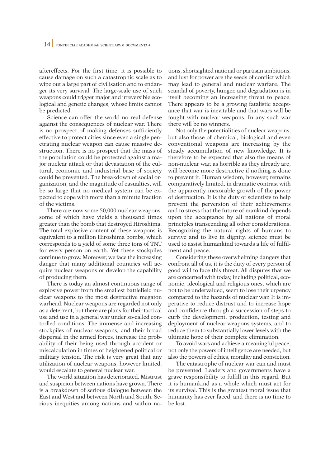after effects. For the first time, it is possible to cause damage on such a catastrophic scale as to wipe out a large part of civilisation and to endanger its very survival. The large-scale use of such weapons could trigger major and irreversible ecological and genetic changes, whose limits cannot be predicted.

Science can offer the world no real defense against the consequences of nuclear war. There is no prospect of making defenses sufficiently effective to protect cities since even a single penetrating nuclear weapon can cause massive destruction. There is no prospect that the mass of the population could be protected against a major nuclear attack or that devastation of the cultural, economic and industrial base of society could be prevented. The breakdown of social organization, and the magnitude of casualties, will be so large that no medical system can be expected to cope with more than a minute fraction of the victims.

There are now some 50,000 nuclear weapons, some of which have yields a thousand times greater than the bomb that destroyed Hiroshima. The total explosive content of these weapons is equivalent to a million Hiroshima bombs, which corresponds to a yield of some three tons of TNT for every person on earth. Yet these stockpiles continue to grow. Moreover, we face the increasing danger that many additional countries will acquire nuclear weapons or develop the capability of producing them.

There is today an almost continuous range of explosive power from the smallest battlefield nuclear weapons to the most destructive megaton warhead. Nuclear weapons are regarded not only as a deterrent, but there are plans for their tactical use and use in a general war under so-called controlled conditions. The immense and increasing stockpiles of nuclear weapons, and their broad dispersal in the armed forces, increase the probability of their being used through accident or miscalculation in times of heightened political or military tension. The risk is very great that any utilization of nuclear weapons, however limited, would escalate to general nuclear war.

The world situation has deteriorated. Mistrust and suspicion between nations have grown. There is a breakdown of serious dialogue between the East and West and between North and South. Serious inequities among nations and within nations, shortsighted national or partisan ambitions, and lust for power are the seeds of conflict which may lead to general and nuclear warfare. The scandal of poverty, hunger, and degradation is in itself becoming an increasing threat to peace. There appears to be a growing fatalistic acceptance that war is inevitable and that wars will be fought with nuclear weapons. In any such war there will be no winners.

Not only the potentialities of nuclear weapons, but also those of chemical, biological and even conventional weapons are increasing by the steady accumulation of new knowledge. It is therefore to be expected that also the means of non-nuclear war, as horrible as they already are, will become more destructive if nothing is done to prevent it. Human wisdom, however, remains comparatively limited, in dramatic contrast with the apparently inexorable growth of the power of destruction. It is the duty of scientists to help prevent the perversion of their achievements and to stress that the future of mankind depends upon the acceptance by all nations of moral principles transcending all other considerations. Recognizing the natural rights of humans to survive and to live in dignity, science must be used to assist humankind towards a life of fulfilment and peace.

Considering these overwhelming dangers that confront all of us, it is the duty of every person of good will to face this threat. All disputes that we are concerned with today, including political, economic, ideological and religious ones, which are not to be undervalued, seem to lose their urgency compared to the hazards of nuclear war. It is imperative to reduce distrust and to increase hope and confidence through a succession of steps to curb the development, production, testing and deployment of nuclear weapons systems, and to reduce them to substantially lower levels with the ultimate hope of their complete elimination.

To avoid wars and achieve a meaningful peace, not only the powers of intelligence are needed, but also the powers of ethics, morality and conviction.

The catastrophe of nuclear war can and must be prevented. Leaders and governments have a grave responsibility to fulfill in this regard. But it is humankind as a whole which must act for its survival. This is the greatest moral issue that humanity has ever faced, and there is no time to be lost.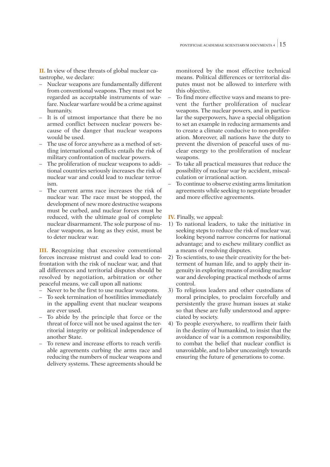**II.** In view of these threats of global nuclear catastrophe, we declare:

- Nuclear weapons are fundamentally different from conventional weapons. They must not be regarded as acceptable instruments of warfare. Nuclear warfare would be a crime against humanity.
- It is of utmost importance that there be no armed conflict between nuclear powers because of the danger that nuclear weapons would be used.
- The use of force anywhere as a method of settling international conflicts entails the risk of military confrontation of nuclear powers.
- The proliferation of nuclear weapons to additional countries seriously increases the risk of nuclear war and could lead to nuclear terrorism.
- The current arms race increases the risk of nuclear war. The race must be stopped, the development of new more destructive weapons must be curbed, and nuclear forces must be reduced, with the ultimate goal of complete nuclear disarmament. The sole purpose of nuclear weapons, as long as they exist, must be to deter nuclear war.

**III.** Recognizing that excessive conventional forces increase mistrust and could lead to confrontation with the risk of nuclear war, and that all differences and territorial disputes should be resolved by negotiation, arbitration or other peaceful means, we call upon all nations:

- Never to be the first to use nuclear weapons.
- To seek termination of hostilities immediately in the appalling event that nuclear weapons are ever used.
- To abide by the principle that force or the threat of force will not be used against the territorial integrity or political independence of another State.
- To renew and increase efforts to reach verifiable agreements curbing the arms race and reducing the numbers of nuclear weapons and delivery systems. These agreements should be

monitored by the most effective technical means. Political differences or territorial disputes must not be allowed to interfere with this objective.

- To find more effective ways and means to prevent the further proliferation of nuclear weapons. The nuclear powers, and in particular the superpowers, have a special obligation to set an example in reducing armaments and to create a climate conducive to non-proliferation. Moreover, all nations have the duty to prevent the diversion of peaceful uses of nuclear energy to the proliferation of nuclear weapons.
- To take all practical measures that reduce the possibility of nuclear war by accident, miscalculation or irrational action.
- To continue to observe existing arms limitation agreements while seeking to negotiate broader and more effective agreements.

**IV.** Finally, we appeal:

- 1) To national leaders, to take the initiative in seeking steps to reduce the risk of nuclear war, looking beyond narrow concerns for national advantage; and to eschew military conflict as a means of resolving disputes.
- 2) To scientists, to use their creativity for the betterment of human life, and to apply their ingenuity in exploring means of avoiding nuclear war and developing practical methods of arms control.
- 3) To religious leaders and other custodians of moral principles, to proclaim forcefully and persistently the grave human issues at stake so that these are fully understood and appreciated by society.
- 4) To people everywhere, to reaffirm their faith in the destiny of humankind, to insist that the avoidance of war is a common responsibility, to combat the belief that nuclear conflict is unavoidable, and to labor unceasingly towards ensuring the future of generations to come.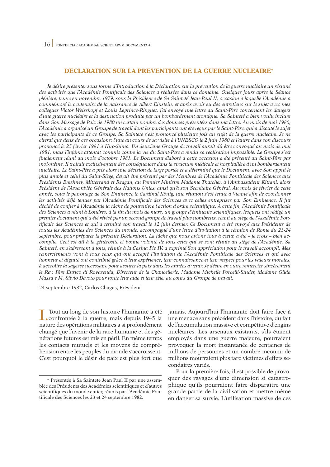## 16 PONTIFICIAE ACADEMIAE SCIENTIARVM DOCVMENTA 4

#### **DECLARATION SUR LA PREVENTION DE LA GUERRE NUCLEAIRE\***

*Je désire présenter sous forme d'Introduction à la Déclaration sur la prévention de la guerre nucléaire un résumé des activités que l'Académie Pontificale des Sciences a réalisées dans ce domaine. Quelques jours après la Séance plénière, tenue en novembre 1979, sous la Présidence de Sa Sainteté Jean-Paul II, occasion à laquelle l'Académie a commémoré le centenaire de la naissance de Albert Einstein, et après avoir eu des entretiens sur le sujet avec mes collègues Victor Weisskopf et Louis Leprince-Ringuet, j'ai envoyé une lettre au Saint-Père concernant les dangers d'une guerre nucléaire et la destruction produite par un bombardement atomique. Sa Sainteté a bien voulu inclure dans Son Message de Paix de 1980 un certain nombre des données présentées dans ma lettre. Au mois de mai 1980, l'Académie a organisé un Groupe de travail dont les participants ont été reçus par le Saint-Père, qui a discuté le sujet avec les participants de ce Groupe. Sa Sainteté s'est prononcé plusieurs fois au sujet de la guerre nucléaire. Je ne citerai que deux de ces occasions: l'une au cours de sa visite à l'UNESCO le 2 juin 1980 et l'autre dans son discours prononcé le 25 février 1981 à Hiroshima. Un deuxième Groupe de travail aurait dû être convoqué au mois de mai 1981, mais l'infâme attentat commis contre la vie du Saint-Père a rendu sa réalisation impossible. Le Groupe s'est finalement réuni au mois d'octobre 1981. Le Document élaboré à cette occasion a été présenté au Saint-Père par moi-même. Il traitait exclusivement des conséquences dans la structure médicale et hospitalière d'un bombardement nucléaire. Le Saint-Père a pris alors une décision de large portée et a déterminé que le Document, avec Son appui le plus ample et celui du Saint-Siège, devait être présenté par des Membres de l'Académie Pontificale des Sciences aux Présidents Brezhnev, Mitterrand et Reagan, au Premier Ministre Madame Thatcher, à l'Ambassadeur Kittani, alors Président de l'Assemblée Générale des Nations Unies, ainsi qu'à son Secrétaire Général. Au mois de février de cette année, sous le patronage de Son Eminence le Cardinal König, une réunion s'est tenue à Vienne afin de coordonner les activités déjà tenues par l'Académie Pontificale des Sciences avec celles entreprises par Son Eminence. Il fut décidé de confier à l'Académie la tâche de poursuivre l'action d'ordre scientifique. A cette fin, l'Académie Pontificale des Sciences a réuni à Londres, à la fin du mois de mars, un groupe d'éminents scientifiques, lesquels ont rédigé un premier document qui a été révisé par un second groupe de travail plus nombreux, réuni au siège de l'Académie Pontificale des Sciences et qui a terminé son travail le 12 juin dernier. Ce Document a été envoyé aux Présidents de toutes les Académies des Sciences du monde, accompagné d'une lettre d'invitation à la réunion de Rome du 23-24 septembre, pour préparer la présente Déclaration. La tâche que nous avions tous à cœur, a été – je crois – bien accomplie. Ceci est dû à la générosité et bonne volonté de tous ceux qui se sont réunis au siège de l'Académie. Sa Sainteté, en s'adressant à tous, réunis à la Casina Pie IV, a exprimé Son appréciation pour le travail accompli. Mes remerciements vont à tous ceux qui ont accepté l'invitation de l'Académie Pontificale des Sciences et qui avec honneur et dignité ont contribué grâce à leur expérience, leur connaissance et leur respect pour les valeurs morales, à accroître la sagesse nécessaire pour assurer la paix dans les années à venir. Je désire en outre remercier sincèrement le Rev. Père Enrico di Rova senda, Directeur de la Chancellerie, Madame Michelle Porcelli-Studer, Madame Gilda Massa e M. Silvio Devoto pour toute leur aide et leur zèle, au cours du Groupe de travail.*

24 septembre 1982, Carlos Chagas, Président

I.Tout au long de son histoire l'humanité a été confrontée à la guerre, mais depuis 1945 la nature des opérations militaires a si profondément changé que l'avenir de la race humaine et des générations futures est mis en péril. En même temps les contacts mutuels et les moyens de compréhension entre les peuples du monde s'accroissent. C'est pourquoi le désir de paix est plus fort que jamais. Aujourd'hui l'humanité doit faire face à une menace sans précédent dans l'histoire, du fait de l'accumulation massive et compétitive d'engins nucléaires. Les arsenaux existants, s'ils étaient employés dans une guerre majeure, pourraient provoquer la mort instantanée de centaines de millions de personnes et un nombre inconnu de millions mourraient plus tard victimes d'effets secondaires variés.

Pour la première fois, il est possible de provoquer des ravages d'une dimension si catastrophique qu'ils pourraient faire disparaître une grande partie de la civilisation et mettre même en danger sa survie. L'utilisation massive de ces

<sup>\*</sup> Présentée à Sa Sainteté Jean Paul II par une assemblée des Présidents des Académies scientifiques et d'autres scientifiques du monde entier, réunis par l'Académie Pontificale des Sciences les 23 et 24 septembre 1982.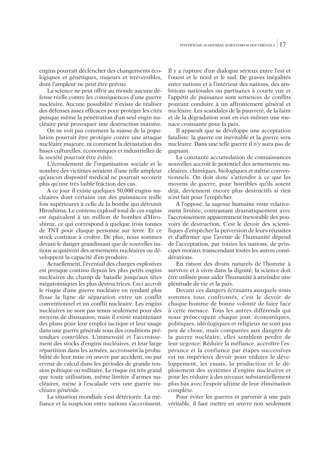engins pourrait déclencher des changements écologiques et génétiques, majeurs et irréversibles, dont l'ampleur ne peut être prévue.

La science ne peut offrir au monde aucune défense réelle contre les conséquences d'une guerre nucléaire. Aucune possibilité n'existe de réaliser des défenses assez efficaces pour protéger les cités puisque même la pénétration d'un seul engin nucléaire peut provoquer une destruction massive.

On ne voit pas comment la masse de la population pourrait être protégée contre une attaque nucléaire majeure, ni comment la dévastation des bases culturelles, économiques et industrielles de la société pourrait être évitée.

L'écroulement de l'organisation sociale et le nombre des victimes seraient d'une telle ampleur qu'aucun dispositif médical ne pourrait secourir plus qu'une très faible fraction des cas.

A ce jour il existe quelques 50,000 engins nucléaires dont certains ont des puissances mille fois supérieures à celle de la bombe qui détruisit Hiroshima. Le contenu explosif total de ces engins est équivalent à un million de bombes d'Hiroshima, ce qui correspond à quelque trois tonnes de TNT pour chaque personne sur terre. Et ce stock continue à croître. De plus, nous sommes devant le danger grandissant que de nouvelles nations acquièrent des armements nucléaires ou développent la capacité d'en produire.

Actuellement, l'éventail des charges explosives est presque continu depuis les plus petits engins nucléaires du champ de bataille jusqu'aux têtes mégatonniques les plus destructrices. Ceci accroît le risque d'une guerre nucléaire en rendant plus floue la ligne de séparation entre un conflit conventionnel et un conflit nucléaire. Les engins nucléaires ne sont pas tenus seulement pour des moyens de dissuasion, mais il existe maintenant des plans pour leur emploi tactique et leur usage dans une guerre générale sous des conditions prétendues contrôlées. L'immensité et l'accroissement des stocks d'engins nucléaires, et leur large répartition dans les armées, accroissent la probabilité de leur mise en œuvre par accident, ou par erreur de calcul dans les périodes de grande tension politique ou militaire. Le risque est très grand que toute utilisation, même limitée d'armes nucléaires, mène à l'escalade vers une guerre nucléaire générale.

La situation mondiale s'est détériorée. La méfiance et la suspicion entre nations s'accroissent.

Il y a rupture d'un dialogue sérieux entre l'est et l'ouest et le nord et le sud. De graves inégalités entre nations et à l'intérieur des nations, des ambitions nationales ou partisanes à courte vue et l'appétit de puissance sont semences de conflits pouvant conduire à un affrontement général et nucléaire. Les scandales de la pauvreté, de la faim et de la dégradation sont en eux-mêmes une menace croissante pour la paix.

Il apparaît que se développe une acceptation fataliste: la guerre est inévitable et la guerre sera nucléaire. Dans une telle guerre il n'y aura pas de gagnant.

La constante accumulation de connaissances nouvelles accroît le potentiel des armements nucléaires, chimiques, biologiques et même conventionnels. On doit donc s'attendre à ce que les moyens de guerre, pour horribles qu'ils soient déjà, deviennent encore plus destructifs si rien n'est fait pour l'empêcher.

A l'opposé, la sagesse humaine reste relativement limitée, contrastant dramatiquement avec l'accroissement apparemment inexorable des pouvoirs de destruction. C'est le devoir des scientifiques d'empêcher la perversion de leurs réussites et d'affirmer que l'avenir de l'humanité dépend de l'acceptation, par toutes les nations, de principes moraux transcendant toutes les autres considérations.

En raison des droits naturels de l'homme à survivre et à vivre dans la dignité, la science doit être utilisée pour aider l'humanité à atteindre une plénitude de vie et la paix.

Devant ces dangers écrasants auxquels nous sommes tous confrontés, c'est le devoir de chaque homme de bonne volonté de faire face à cette menace. Tous les autres différends qui nous préoccupent chaque jour, économiques, politiques, idéologiques et religieux ne sont pas peu de chose, mais comparées aux dangers de la guerre nucléaire, elles semblent perdre de leur urgence. Réduire la méfiance, accroître l'espérance et la confiance par étapes successives est un impérieux devoir pour réduire le développement, les essais, la production et le déploiement des systèmes d'engins nucléaires et pour les réduire à des niveaux substantiellement plus bas avec l'espoir ultime de leur élimination complète.

Pour éviter les guerres et parvenir à une paix véritable, il faut mettre en œuvre non seulement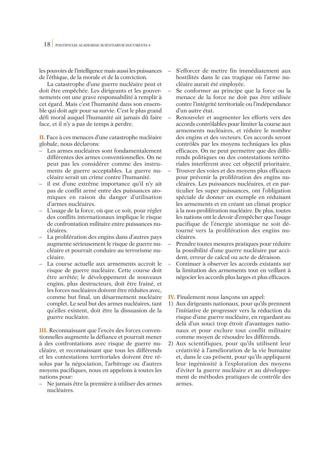18 PONTIFICIAE ACADEMIAE SCIENTIARVM DOCVMENTA 4

les pouvoirs de l'intelligence mais aussi les puissances de l'éthique, de la morale et de la conviction.

La catastrophe d'une guerre nucléaire peut et doit être empêchée. Les dirigeants et les gouvernements ont une grave responsabilité à remplir à cet égard. Mais c'est l'humanité dans son ensemble qui doit agir pour sa survie. C'est le plus grand défi moral auquel l'humanité ait jamais dû faire face, et il n'y a pas de temps à perdre.

**II.** Face à ces menaces d'une catastrophe nucléaire globale, nous déclarons:

- Les armes nucléaires sont fondamentalement différentes des armes conventionnelles. On ne peut pas les considérer comme des instruments de guerre acceptables. La guerre nucléaire serait un crime contre l'humanité.
- il est d'une extrême importance qu'il n'y ait pas de conflit armé entre des puissances atomiques en raison du danger d'utilisation d'armes nucléaires.
- L'usage de la force, où que ce soit, pour régler des conflits internationaux implique le risque de confrontation militaire entre puissances nucléaires.
- La prolifération des engins dans d'autres pays augmente sérieusement le risque de guerre nucléaire et pourrait conduire au terrorisme nucléaire.
- La course actuelle aux armements accroit le risque de guerre nucléaire. Cette course doit être arrêtée; le développement de nouveaux engins, plus destructeurs, doit être frainé, et les forces nucléaires doivent être réduites avec, comme but final, un désarmement nucléaire complet. Le seul but des armes nucléaires, tant qu'elles existent, doit être la dissuasion de la guerre nucléaire.

**III.** Reconnaissant que l'excès des forces conventionnelles augmente la défiance et pourrait mener à des confrontations avec risque de guerre nucléaire, et reconnaissant que tous les différends et les contestations territoriales doivent être résolus par la négociation, l'arbitrage ou d'autres moyens pacifiques, nous en appelons à toutes les nations pour:

– Ne jamais être la première à utiliser des armes nucléaires.

- S'efforcer de mettre fin immédiatement aux hostilités dans le cas tragique où l'arme nucléaire aurait été employée.
- Se conformer au principe que la force ou la menace de la force ne doit pas être utilisée contre l'intégrité territoriale ou l'indépendance d'un autre état.
- Renouveler et augmenter les efforts vers des accords contrôlables pour limiter la course aux armements nucléaires, et réduire le nombre des engins et des vecteurs. Ces accords seront contrôlés par les moyens techniques les plus efficaces. On ne peut permettre que des différends politiques ou des contestations territoriales interfèrent avec cet objectif prioritaire.
- Trouver des voies et des moyens plus efficaces pour prévenir la prolifération des engins nucléaires. Les puissances nucléaires, et en particulier les super puissances, ont l'obligation spéciale de donner un exemple en réduisant les armements et en créant un climat propice à la non-prolifération nucléaire. De plus, toutes les nations ont le devoir d'empêcher que l'usage pacifique de l'énergie atomique ne soit détourné vers la prolifération des engins nucléaires.
- Prendre toutes mesures pratiques pour réduire la possibilité d'une guerre nucléaire par accident, erreur de calcul ou acte de déraison.
- Continuer à observer les accords existants sur la limitation des armements tout en veillant à négocier les accords plus larges et plus efficaces.

**IV.** Finalement nous lançons un appel:

- 1) Aux dirigeants nationaux, pour qu'ils prennent l'initiative de progresser vers la réduction du risque d'une guerre nucléaire, en regardant au delà d'un souci trop étroit d'avantages nationaux et pour exclure tout conflit militaire comme moyen de résoudre les différends.
- 2) Aux scientifiques, pour qu'ils utilisent leur créativité à l'amélioration de la vie humaine et, dans le cas présent, pour qu'ils appliquent leur ingéniosité à l'exploration des moyens d'éviter la guerre nucléaire et au développement de méthodes pratiques de contrôle des armes.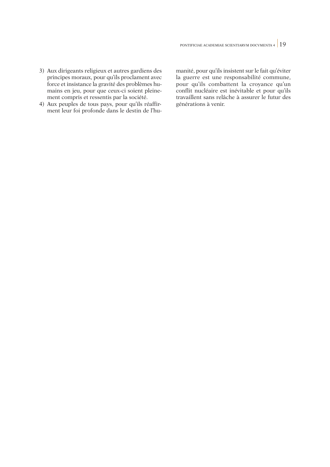- 3) Aux dirigeants religieux et autres gardiens des principes moraux, pour qu'ils proclament avec force et insistance la gravité des problèmes humains en jeu, pour que ceux-ci soient pleinement compris et ressentis par la société.
- 4) Aux peuples de tous pays, pour qu'ils réaffirment leur foi profonde dans le destin de l'hu-

manité, pour qu'ils insistent sur le fait qu'éviter la guerre est une responsabilité commune, pour qu'ils combattent la croyance qu'un conflit nucléaire est inévitable et pour qu'ils travaillent sans relâche à assurer le futur des générations à venir.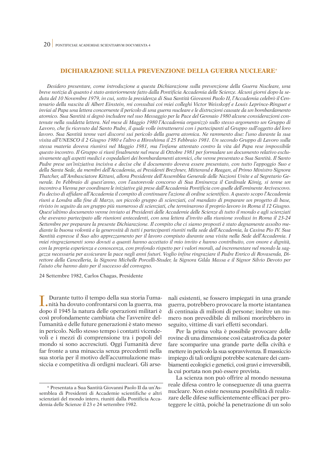## 20 | PONTIFICIAE ACADEMIAE SCIENTIARVM DOCVMENTA 4

#### **DICHIARAZIONE SULLA PREVENZIONE DELLA GUERRA NUCLEARE\***

*Desidero presentare, come introduzione a questa Dichiarazione sulla prevenzione della Guerra Nucleare, una breve notizia di quanto è stato anteriormente fatto dalla Pontificia Accademia delle Scienze. Alcuni giorni dopo la seduta del 10 Novembre 1979, in cui, sotto la presidenza di Sua Santità Giovanni Paolo II, l'Accademia celebrò il Centenario della nascita di Albert Einstein, mi consultai coi miei colleghi Victor Weisskopf e Louis Leprince-Ringuet e inviai al Papa una lettera concernente il pericolo di una guerra nucleare e le distruzioni causate da un bombardamento atomico. Sua Santità si degnò includere nel suo Messaggio per la Pace del Gen naio 1980 alcune considerazioni contenute nella suddetta lettera. Nel mese di Maggio 1980 l'Accademia organizzò sullo stesso argomento un Gruppo di Lavoro, che fu ricevuto dal Santo Padre, il quale volle intrattenersi con i partecipanti al Gruppo sull'oggetto del loro lavoro. Sua Santità tenne vari discorsi sui pericolo della guerra atomica. Ne rammento due: l'uno durante la sua visita all'UNESCO il 2 Giugno 1980 e l'altro a Hiroshima il 25 Febbraio 1981. Un secondo Gruppo di Lavoro sulla stessa materia doveva riunirsi nel Maggio 1981, ma l'infame attentato contro la vita del Papa rese impossibile questo incontro. Il Gruppo si riunì finalmente nel mese di Ottobre 1981 per formulare un documento relativo esclusivamente agli aspetti me dici e ospedalieri dei bombardamenti atomici, che venne presentato a Sua Santità. Il Santo Padre prese un'iniziativa incisiva e decise che il documento doveva essere presentato, con tutto l'appoggio Suo e della Santa Sede, da membri dell'Accademia, ai Presidenti Brezhnev, Mitterand e Reagan, al Primo Ministro Signora Thatcher, all'Ambasciatore Kittani, allora Presidente dell'Assemblea Generale delle Nazioni Unite e al Segretario Generale. In Febbraio di quest'anno, con l'autorevole concorso di Sua Eminenza il Cardinale König, si tenne un incontro a Vienna per coordinare le iniziative già prese dall'Accademia Pontificia con quelle dell'eminente Arcivescovo. Fu deciso di affidare all'Accademia il compito di continuare l'azione di ordine scientifico. A questo scopo l'Accademia riunì a Londra alla fine di Marzo, un piccolo gruppo di scienziati, col mandato di preparare un progetto di base, rivisto in seguito da un gruppo più numeroso di scienziati, che terminarono il proprio lavoro in Roma il 12 Giugno. Quest'ultimo documento venne inviato ai Presidenti delle Accademie delle Scienze di tutto il mondo e agli scienziati che avevano partecipato alle riunioni antecedenti, con una lettera d'invito alla riunione svoltasi in Roma il 23-24 Settembre per preparare la presente Dichiarazione. Il compito che ci siamo proposti è stato degnamente assolto mediante la buona volontà e la generosità di tutti i partecipanti riuniti nella sede dell'Accademia, la Casina Pio IV. Sua Santità espresse il Suo alto apprezzamento per il lavoro compiuto durante una visita nella Sede dell'Accademia. I miei ringraziamenti sono dovuti a quanti hanno accettato il mio invito e hanno contribuito, con onore e dignità, con la propria esperienza e conoscenza, con profondo rispetto per i valori morali, ad incrementare nel mondo la saggezza necessaria per assicurare la pace negli anni futuri. Voglio infine ringraziare il Padre Enrico di Rovasenda, Direttore della Cancelleria, la Signora Michelle Porcelli-Studer, la Signora Gilda Massa e il Signor Silvio Devoto per l'aiuto che hanno dato per il successo del convegno.*

24 Settembre 1982, Carlos Chagas, Presidente

I.Durante tutto il tempo della sua storia l'uma-nità ha dovuto confrontarsi con la guerra, ma dopo il 1945 la natura delle operazioni militari è così profondamente cambiata che l'avvenire dell'umanità e delle future generazioni è stato messo in pericolo. Nello stesso tempo i contatti vicendevoli e i mezzi di comprensione tra i popoli del mondo si sono accresciuti. Oggi l'umanità deve far fronte a una minaccia senza precedenti nella sua storia per il motivo dell'accumulazione massiccia e competitiva di ordigni nucleari. Gli arse-

nali esistenti, se fossero impiegati in una grande guerra, potrebbero provocare la morte istantanea di centinaia di milioni di persone; inoltre un numero non prevedibile di milioni morirebbero in seguito, vittime di vari effetti secondari.

Per la prima volta è possibile provocare delle rovine di una dimensione così catastrofica da poter fare scomparire una grande parte della civiltà e mettere in pericolo la sua sopravvivenza. Il massiccio impiego di tali ordigni potrebbe scatenare dei cambiamenti ecologici e genetici, così gravi e irreversibili, la cui portata non può essere prevista.

La scienza non può offrire al mondo nessuna reale difesa contro le conseguenze di una guerra nucleare. Non esiste nessuna possibilità di realizzare delle difese sufficientemente efficaci per proteggere le città, poiché la penetrazione di un solo

<sup>\*</sup> Presentata a Sua Santità Giovanni Paolo II da un'Assemblea di Presidenti di Accademie scientifiche e altri scienziati del mondo intero, riuniti dalla Pontificia Accademia delle Scienze il 23 e 24 settembre 1982.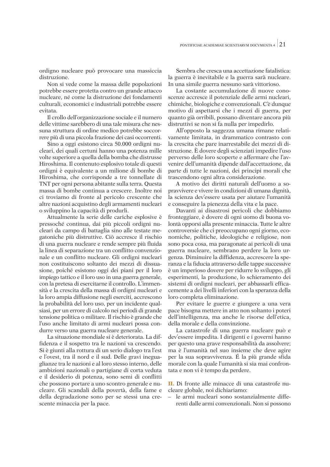ordigno nucleare può provocare una massiccia distruzione.

Non si vede come la massa delle popolazioni potrebbe essere protetta contro un grande attacco nucleare, né come la distruzione dei fondamenti culturali, economici e industriali potrebbe essere evitata.

Il crollo dell'organizzazione sociale e il numero delle vittime sarebbero di una tale misura che nessuna struttura di ordine medico potrebbe soccorrere più di una piccola frazione dei casi occorrenti.

Sino a oggi esistono circa 50.000 ordigni nucleari, dei quali certuni hanno una potenza mille volte superiore a quella della bomba che distrusse Hiroshima. Il contenuto esplosivo totale di questi ordigni è equivalente a un milione di bombe di Hiroshima, che corrisponde a tre tonnellate di TNT per ogni persona abitante sulla terra. Questa massa di bombe continua a crescere. Inoltre noi ci troviamo di fronte al pericolo crescente che altre nazioni acquistino degli armamenti nucleari o sviluppino la capacità di produrli.

Attualmente la serie delle cariche esplosive è pressoché continua, dai più piccoli ordigni nucleari da campo di battaglia sino alle testate megatoniche più distruttive. Ciò accresce il rischio di una guerra nucleare e rende sempre più fluida la linea di separazione tra un conflitto convenzionale e un conflitto nucleare. Gli ordigni nucleari non costituiscono soltanto dei mezzi di dissuasione, poiché esistono oggi dei piani per il loro impiego tattico e il loro uso in una guerra generale, con la pretesa di esercitarne il controllo. L'immensità e la crescita della massa di ordigni nucleari e la loro ampia diffusione negli eserciti, accrescono la probabilità del loro uso, per un incidente qualsiasi, per un errore di calcolo nei periodi di grande ten sione politica o militare. Il rischio è grande che l'uso anche limitato di armi nucleari possa condurre verso una guerra nucleare generale.

La situazione mondiale si è deteriorata. La diffidenza e il sospetto tra le nazioni va crescendo. Si è giunti alla rottura di un serio dialogo tra l'est e l'ovest, tra il nord e il sud. Delle gravi ineguaglianze tra le nazioni e al loro stesso interno, delle ambizioni nazionali o partigiane di corta veduta e il desiderio di potenza, sono semi di conflitti che possono portare a uno scontro generale e nucleare. Gli scandali della povertà, della fame e della degradazione sono per se stessi una crescente minaccia per la pace.

Sembra che cresca una accettazione fatalistica: la guerra è inevitabile e la guerra sarà nucleare. In una simile guerra nessuno sarà vittorioso.

La costante accumulazione di nuove conoscenze accresce il potenziale delle armi nucleari, chimiche, biologiche e convenzionali. C'è dunque motivo di aspettarsi che i mezzi di guerra, per quanto già orribili, possano diventare ancora più distruttivi se non si fa nulla per impedirlo.

All'opposto la saggezza umana rimane relativamente limitata, in drammatico contrasto con la crescita che pare inarrestabile dei mezzi di distruzione. È dovere degli scienziati impedire l'uso perverso delle loro scoperte e affermare che l'avvenire dell'umanità dipende dall'accettazione, da parte di tutte le nazioni, dei principi morali che trascendono ogni altra considerazione.

A motivo dei diritti naturali dell'uomo a sopravvivere e vivere in condizioni di umana dignità, la scienza dev'essere usata per aiutare l'umanità e conseguire la pienezza della vita e la pace.

Davanti ai disastrosi pericoli che dobbiamo fronteggiare, è dovere di ogni uomo di buona volontà opporsi alla presente minaccia. Tutte le altre controversie che ci preoccupano ogni giorno, economiche, politiche, ideologiche e religiose, non sono poca cosa, ma paragonate ai pericoli di una guerra nucleare, sembrano perdere la loro urgenza. Diminuire la diffidenza, accrescere la speranza e la fiducia attraverso delle tappe successive è un imperioso dovere per ridurre lo sviluppo, gli esperimenti, la produzione, lo schieramento dei sistemi di ordigni nucleari, per abbassarli efficacemente a dei livelli inferiori con la speranza della loro completa eliminazione.

Per evitare le guerre e giungere a una vera pace bisogna mettere in atto non soltanto i poteri dell'intelligenza, ma anche le risorse dell'etica, della morale e della convinzione.

La catastrofe di una guerra nucleare può e dev'essere impedita. I dirigenti e i governi hanno per questo una grave responsabilità da assolvere; ma è l'umanità nel suo insieme che deve agire per la sua sopravvivenza. É la più grande sfida morale con la quale l'umanità si sia mai confrontata e non vi è tempo da perdere.

**II.** Di fronte alle minacce di una catastrofe nucleare globale, noi dichiariamo:

– le armi nucleari sono sostanzialmente differenti dalle armi convenzionali. Non si possono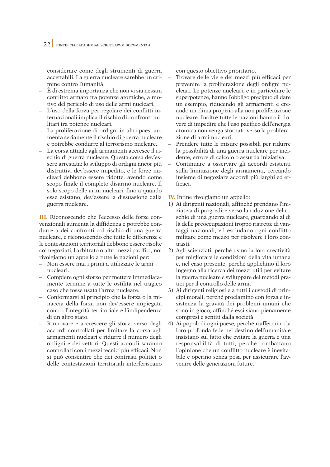considerare come degli strumenti di guerra accettabili. La guerra nucleare sarebbe un crimine contro l'umanità.

- È di estrema importanza che non vi sia nessun conflitto armato tra potenze atomiche, a motivo del pericolo di uso delle armi nucleari.
- L'uso della forza per regolare dei conflitti internazionali implica il rischio di confronti militari tra potenze nucleari.
- La proliferazione di ordigni in altri paesi aumenta seriamente il rischio di guerra nucleare e potrebbe condurre al terrorismo nucleare.
- La corsa attuale agli armamenti accresce il rischio di guerra nucleare. Questa corsa dev'essere arrestata; lo sviluppo di ordigni ancor più distruttivi dev'essere impedito, e le forze nucleari debbono essere ridotte, avendo come scopo finale il completo disarmo nucleare. Il solo scopo delle armi nucleari, fino a quando esse esistano, dev'essere la dissuasione dalla guerra nucleare.

**III.** Riconoscendo che l'eccesso delle forze convenzionali aumenta la diffidenza e potrebbe condurre a dei confronti col rischio di una guerra nucleare, e riconoscendo che tutte le differenze e le contestazioni territoriali debbono essere risolte coi negoziati, l'arbitrato o altri mezzi pacifici, noi rivolgiamo un appello a tutte le nazioni per:

- Non essere mai i primi a utilizzare le armi nucleari.
- Compiere ogni sforzo per mettere immediatamente termine a tutte le ostilità nel tragico caso che fosse usata l'arma nucleare.
- Conformarsi al principio che la forza o la minaccia della forza non dev'essere impiegata contro l'integrità territoriale e l'indipendenza di un altro stato.
- Rinnovare e accrescere gli sforzi verso degli accordi controllati per limitare la corsa agli armamenti nucleari e ridurre il numero degli ordigni e dei vettori. Questi accordi saranno controllati con i mezzi tecnici più efficaci. Non si può consentire che dei contrasti politici o delle contestazioni territoriali interferiscano

con questo obiettivo prioritario.

- Trovare delle vie e dei mezzi più efficaci per prevenire la proliferazione degli ordigni nucleari. Le potenze nucleari, e in particolare le superpotenze, hanno l'obbligo precipuo di dare un esempio, riducendo gli arma menti e creando un clima propizio alla non proliferazione nucleare. Inoltre tutte le nazioni hanno il dovere di impedire che l'uso pacifico dell'energia atomica non venga stornato verso la proliferazione di armi nucleari.
- Prendere tutte le misure possibili per ridurre la possibilità di una guerra nucleare per incidente, errore di calcolo o assurda iniziativa.
- Continuare a osservare gli accordi esistenti sulla limitazione degli armamenti, cercando insieme di negoziare accordi più larghi ed efficaci.

**IV.** Infine rivolgiamo un appello:

- 1) Ai dirigenti nazionali, affinché prendano l'iniziativa di progredire verso la riduzione del rischio di una guerra nucleare, guardando al di là delle preoccupazioni troppo ristrette di vantaggi nazionali, ed escludano ogni conflitto militare come mezzo per risolvere i loro contrasti.
- 2) Agli scienziati, perché usino la loro creatività per migliorare le condizioni della vita umana e, nel caso presente, perché applichino il loro ingegno alla ricerca dei mezzi utili per evitare la guerra nucleare e sviluppare dei metodi pratici per il controllo delle armi.
- 3) Ai dirigenti religiosi e a tutti i custodi di principi morali, perché proclamino con forza e insistenza la gravità dei problemi umani che sono in gioco, affinché essi siano pienamente compresi e sentiti dalla società.
- 4) Ai popoli di ogni paese, perché riaffermino la loro profonda fede nel destino dell'umanità e insistano sul fatto che evitare la guerra è una responsabilità di tutti, perché combattano l'opinione che un conflitto nucleare è inevitabile e operino senza posa per assicurare l'avvenire delle generazioni future.